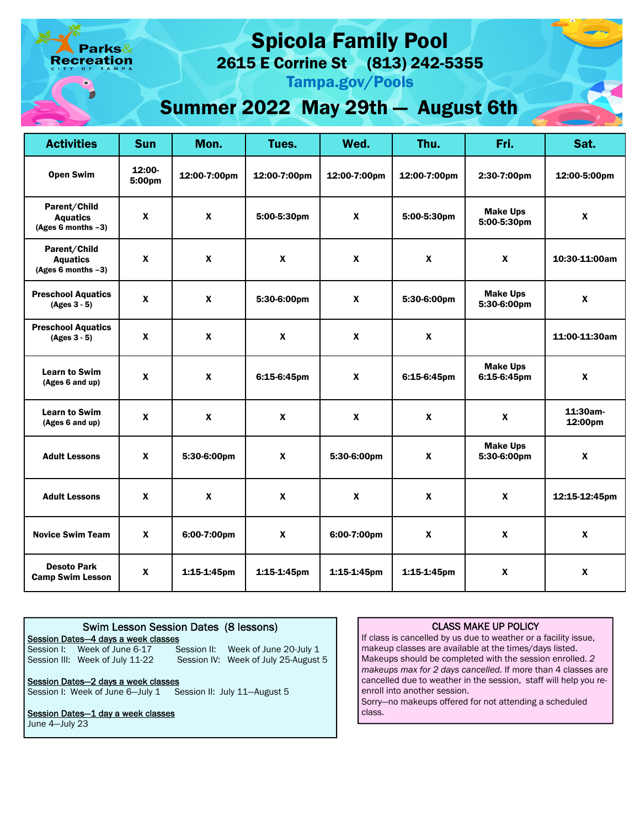arks $\&$ reation

# Spicola Family Pool

2615 E Corrine St (813) 242-5355

Tampa.gov/Pools

## Summer 2022 May 29th — August 6th

| <b>Activities</b>                                        | <b>Sun</b>         | Mon.             | Tues.            | Wed.             | Thu.             | Fri.                           | Sat.                |
|----------------------------------------------------------|--------------------|------------------|------------------|------------------|------------------|--------------------------------|---------------------|
| <b>Open Swim</b>                                         | $12:00-$<br>5:00pm | 12:00-7:00pm     | 12:00-7:00pm     | 12:00-7:00pm     | 12:00-7:00pm     | 2:30-7:00pm                    | 12:00-5:00pm        |
| Parent/Child<br><b>Aquatics</b><br>(Ages 6 months $-3$ ) | $\mathbf{x}$       | $\mathbf{x}$     | 5:00-5:30pm      | $\boldsymbol{x}$ | 5:00-5:30pm      | <b>Make Ups</b><br>5:00-5:30pm | $\mathbf{x}$        |
| Parent/Child<br><b>Aquatics</b><br>(Ages 6 months $-3$ ) | $\pmb{\chi}$       | $\pmb{\chi}$     | $\boldsymbol{x}$ | $\boldsymbol{x}$ | $\pmb{\chi}$     | $\boldsymbol{x}$               | 10:30-11:00am       |
| <b>Preschool Aquatics</b><br>$(Ages 3 - 5)$              | $\pmb{\chi}$       | $\pmb{\chi}$     | 5:30-6:00pm      | $\boldsymbol{x}$ | 5:30-6:00pm      | <b>Make Ups</b><br>5:30-6:00pm | $\boldsymbol{x}$    |
| <b>Preschool Aquatics</b><br>(Ages 3 - 5)                | $\mathbf{x}$       | $\boldsymbol{x}$ | $\mathbf{x}$     | $\mathbf{x}$     | $\boldsymbol{x}$ |                                | 11:00-11:30am       |
| <b>Learn to Swim</b><br>(Ages 6 and up)                  | $\boldsymbol{x}$   | $\boldsymbol{x}$ | 6:15-6:45pm      | $\boldsymbol{x}$ | 6:15-6:45pm      | <b>Make Ups</b><br>6:15-6:45pm | $\mathbf{x}$        |
| <b>Learn to Swim</b><br>(Ages 6 and up)                  | $\pmb{\chi}$       | $\pmb{\chi}$     | $\mathbf{x}$     | $\boldsymbol{x}$ | $\pmb{\chi}$     | $\boldsymbol{x}$               | 11:30am-<br>12:00pm |
| <b>Adult Lessons</b>                                     | $\mathbf{x}$       | 5:30-6:00pm      | $\mathbf{x}$     | 5:30-6:00pm      | $\pmb{\chi}$     | <b>Make Ups</b><br>5:30-6:00pm | $\mathbf{x}$        |
| <b>Adult Lessons</b>                                     | $\boldsymbol{x}$   | $\mathbf{x}$     | $\boldsymbol{x}$ | $\mathbf{x}$     | $\mathbf{x}$     | $\mathbf{x}$                   | 12:15-12:45pm       |
| <b>Novice Swim Team</b>                                  | $\mathbf{x}$       | 6:00-7:00pm      | $\mathbf{x}$     | 6:00-7:00pm      | $\mathbf{x}$     | $\mathbf{x}$                   | $\mathbf{x}$        |
| <b>Desoto Park</b><br><b>Camp Swim Lesson</b>            | X                  | $1:15-1:45$ pm   | $1:15-1:45$ pm   | 1:15-1:45pm      | $1:15-1:45$ pm   | $\boldsymbol{x}$               | $\mathbf{x}$        |

#### Session I: Week of June 6-17 Session III: Week of July 11-22 Swim Lesson Session Dates (8 lessons) Session Dates—4 days a week classes Session II: Week of June 20-July 1 Session IV: Week of July 25-August 5 Session Dates—2 days a week classes

Session I: Week of June 6-July 1 Session II: July 11-August 5

#### Session Dates-1 day a week classes

June 4—July 23

### CLASS MAKE UP POLICY

makeup classes are available at the times/days listed. If class is cancelled by us due to weather or a facility issue, Makeups should be completed with the session enrolled. 2 *makeups max for 2 days cancelled.* If more than 4 classes are cancelled due to weather in the session, staff will help you reenroll into another session.

Sorry—no makeups offered for not attending a scheduled class.